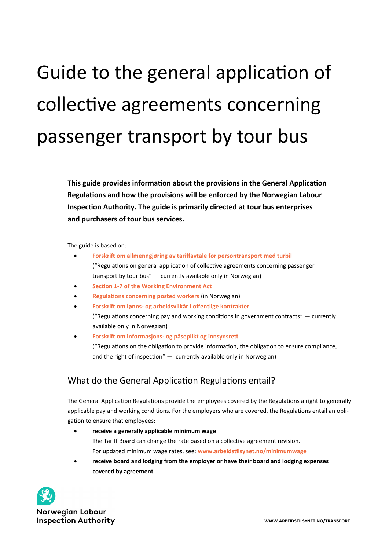# Guide to the general application of collective agreements concerning passenger transport by tour bus

**This guide provides information about the provisions in the General Application Regulations and how the provisions will be enforced by the Norwegian Labour Inspection Authority. The guide is primarily directed at tour bus enterprises and purchasers of tour bus services.**

The guide is based on:

- **[Forskrift om allmenngjøring av tariffavtale for persontransport med turbil](https://www.arbeidstilsynet.no/regelverk/forskrifter/forskrift-om-allmenngjoring-av-tariffavtaler-for-persontransport-med-turbil)** ("Regulations on general application of collective agreements concerning passenger transport by tour bus" — currently available only in Norwegian)
- **Section 1-[7 of the Working Environment Act](https://lovdata.no/NLE/lov/2005-06-17-62/§section1-7)**
- **[Regulations concerning posted workers](https://www.arbeidstilsynet.no/regelverk/forskrifter/forskrift-om-utsendte-arbeidstakere/)** (in Norwegian)
- **Forskrift om lønns- [og arbeidsvilkår i offentlige kontrakter](https://www.arbeidstilsynet.no/regelverk/forskrifter/forskrift-om-arbeidsvilkar-i-off.-kontrakter/)** ("Regulations concerning pay and working conditions in government contracts"  $-$  currently available only in Norwegian)
- **Forskrift om informasjons- [og påseplikt og innsynsrett](https://www.arbeidstilsynet.no/regelverk/forskrifter/forskrift-om-informasjons--og-paseplikt-mv/)** ("Regulations on the obligation to provide information, the obligation to ensure compliance, and the right of inspection"  $-$  currently available only in Norwegian)

## What do the General Application Regulations entail?

The General Application Regulations provide the employees covered by the Regulations a right to generally applicable pay and working conditions. For the employers who are covered, the Regulations entail an obligation to ensure that employees:

- **receive a generally applicable minimum wage** The Tariff Board can change the rate based on a collective agreement revision. For updated minimum wage rates, see: **[www.arbeidstilsynet.no/minimumwage](https://www.arbeidstilsynet.no/minimumwage)**
- **receive board and lodging from the employer or have their board and lodging expenses covered by agreement**



**Norwegian Labour Inspection Authority**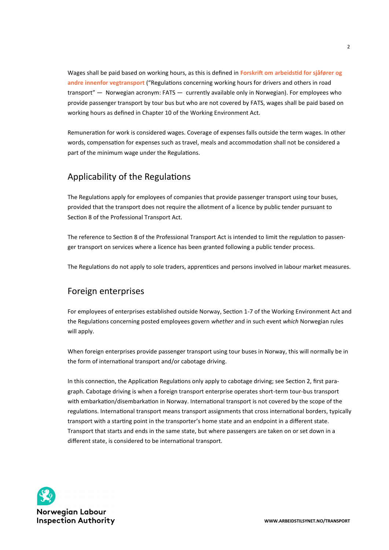Wages shall be paid based on working hours, as this is defined in **[Forskrift om arbeidstid for sjåfører og](http://lovdata.no/forskrift/2005-06-10-543/)  [andre innenfor vegtransport](http://lovdata.no/forskrift/2005-06-10-543/)** ("Regulations concerning working hours for drivers and others in road transport" — Norwegian acronym: FATS — currently available only in Norwegian). For employees who provide passenger transport by tour bus but who are not covered by FATS, wages shall be paid based on working hours as defined in Chapter 10 of the Working Environment Act.

Remuneration for work is considered wages. Coverage of expenses falls outside the term wages. In other words, compensation for expenses such as travel, meals and accommodation shall not be considered a part of the minimum wage under the Regulations.

## Applicability of the Regulations

The Regulations apply for employees of companies that provide passenger transport using tour buses, provided that the transport does not require the allotment of a licence by public tender pursuant to Section 8 of the Professional Transport Act.

The reference to Section 8 of the Professional Transport Act is intended to limit the regulation to passenger transport on services where a licence has been granted following a public tender process.

The Regulations do not apply to sole traders, apprentices and persons involved in labour market measures.

## Foreign enterprises

For employees of enterprises established outside Norway, Section 1-7 of the Working Environment Act and the Regulations concerning posted employees govern *whether* and in such event *which* Norwegian rules will apply.

When foreign enterprises provide passenger transport using tour buses in Norway, this will normally be in the form of international transport and/or cabotage driving.

In this connection, the Application Regulations only apply to cabotage driving; see Section 2, first paragraph. Cabotage driving is when a foreign transport enterprise operates short-term tour-bus transport with embarkation/disembarkation in Norway. International transport is not covered by the scope of the regulations. International transport means transport assignments that cross international borders, typically transport with a starting point in the transporter's home state and an endpoint in a different state. Transport that starts and ends in the same state, but where passengers are taken on or set down in a different state, is considered to be international transport.

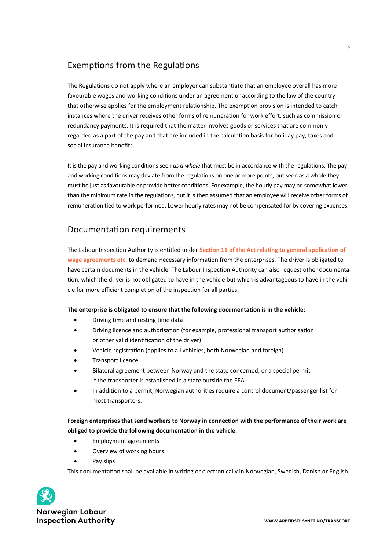## Exemptions from the Regulations

The Regulations do not apply where an employer can substantiate that an employee overall has more favourable wages and working conditions under an agreement or according to the law of the country that otherwise applies for the employment relationship. The exemption provision is intended to catch instances where the driver receives other forms of remuneration for work effort, such as commission or redundancy payments. It is required that the matter involves goods or services that are commonly regarded as a part of the pay and that are included in the calculation basis for holiday pay, taxes and social insurance benefits.

It is the pay and working conditions seen *as a whole* that must be in accordance with the regulations. The pay and working conditions may deviate from the regulations on one or more points, but seen as a whole they must be just as favourable or provide better conditions. For example, the hourly pay may be somewhat lower than the minimum rate in the regulations, but it is then assumed that an employee will receive other forms of remuneration tied to work performed. Lower hourly rates may not be compensated for by covering expenses.

## Documentation requirements

The Labour Inspection Authority is entitled under **[Section 11 of the Act relating to general application of](http://lovdata.no/lov/1993-06-04-58/§11)  [wage agreements etc.](http://lovdata.no/lov/1993-06-04-58/§11)** to demand necessary information from the enterprises. The driver is obligated to have certain documents in the vehicle. The Labour Inspection Authority can also request other documentation, which the driver is not obligated to have in the vehicle but which is advantageous to have in the vehicle for more efficient completion of the inspection for all parties.

#### **The enterprise is obligated to ensure that the following documentation is in the vehicle:**

- Driving time and resting time data
- Driving licence and authorisation (for example, professional transport authorisation or other valid identification of the driver)
- Vehicle registration (applies to all vehicles, both Norwegian and foreign)
- Transport licence
- Bilateral agreement between Norway and the state concerned, or a special permit if the transporter is established in a state outside the EEA
- In addition to a permit, Norwegian authorities require a control document/passenger list for most transporters.

#### **Foreign enterprises that send workers to Norway in connection with the performance of their work are obliged to provide the following documentation in the vehicle:**

- Employment agreements
- Overview of working hours
- Pay slips

This documentation shall be available in writing or electronically in Norwegian, Swedish, Danish or English.



**Norwegian Labour Inspection Authority**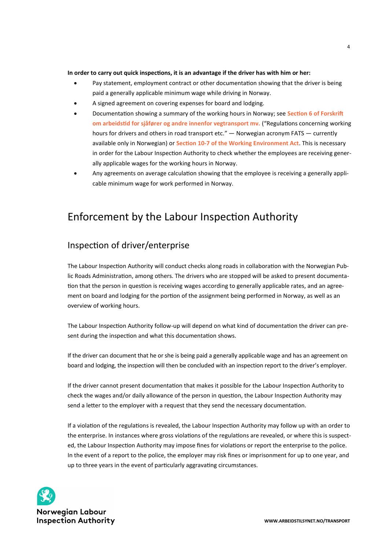#### **In order to carry out quick inspections, it is an advantage if the driver has with him or her:**

- Pay statement, employment contract or other documentation showing that the driver is being paid a generally applicable minimum wage while driving in Norway.
- A signed agreement on covering expenses for board and lodging.
- Documentation showing a summary of the working hours in Norway; see **[Section 6 of Forskrift](http://lovdata.no/forskrift/2005-06-10-543/§6)  [om arbeidstid for sjåfører og andre innenfor vegtransport mv.](http://lovdata.no/forskrift/2005-06-10-543/§6)** ("Regulations concerning working hours for drivers and others in road transport etc." — Norwegian acronym FATS — currently available only in Norwegian) or **Section 10-[7 of the Working Environment Act](https://lovdata.no/NLE/lov/2005-06-17-62/§section10-7)**. This is necessary in order for the Labour Inspection Authority to check whether the employees are receiving generally applicable wages for the working hours in Norway.
- Any agreements on average calculation showing that the employee is receiving a generally applicable minimum wage for work performed in Norway.

## Enforcement by the Labour Inspection Authority

## Inspection of driver/enterprise

The Labour Inspection Authority will conduct checks along roads in collaboration with the Norwegian Public Roads Administration, among others. The drivers who are stopped will be asked to present documentation that the person in question is receiving wages according to generally applicable rates, and an agreement on board and lodging for the portion of the assignment being performed in Norway, as well as an overview of working hours.

The Labour Inspection Authority follow-up will depend on what kind of documentation the driver can present during the inspection and what this documentation shows.

If the driver can document that he or she is being paid a generally applicable wage and has an agreement on board and lodging, the inspection will then be concluded with an inspection report to the driver's employer.

If the driver cannot present documentation that makes it possible for the Labour Inspection Authority to check the wages and/or daily allowance of the person in question, the Labour Inspection Authority may send a letter to the employer with a request that they send the necessary documentation.

If a violation of the regulations is revealed, the Labour Inspection Authority may follow up with an order to the enterprise. In instances where gross violations of the regulations are revealed, or where this is suspected, the Labour Inspection Authority may impose fines for violations or report the enterprise to the police. In the event of a report to the police, the employer may risk fines or imprisonment for up to one year, and up to three years in the event of particularly aggravating circumstances.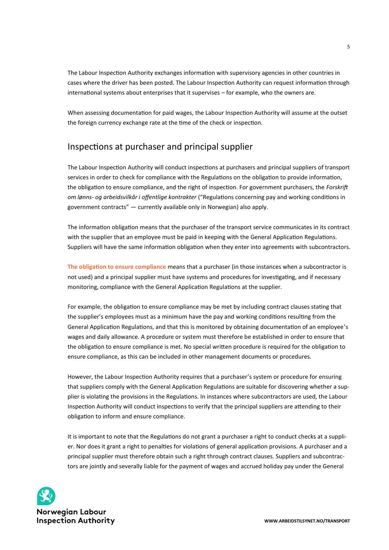The Labour Inspection Authority exchanges information with supervisory agencies in other countries in cases where the driver has been posted. The Labour Inspection Authority can request information through international systems about enterprises that it supervises – for example, who the owners are.

When assessing documentation for paid wages, the Labour Inspection Authority will assume at the outset the foreign currency exchange rate at the time of the check or inspection.

## Inspections at purchaser and principal supplier

The Labour Inspection Authority will conduct inspections at purchasers and principal suppliers of transport services in order to check for compliance with the Regulations on the obligation to provide information, the obligation to ensure compliance, and the right of inspection. For government purchasers, the *Forskrift om lønns- og arbeidsvilkår i offentlige kontrakter* ("Regulations concerning pay and working conditions in government contracts" — currently available only in Norwegian) also apply.

The information obligation means that the purchaser of the transport service communicates in its contract with the supplier that an employee must be paid in keeping with the General Application Regulations. Suppliers will have the same information obligation when they enter into agreements with subcontractors.

**[The obligation to ensure compliance](https://www.arbeidstilsynet.no/tema/paseplikten/)** means that a purchaser (in those instances when a subcontractor is not used) and a principal supplier must have systems and procedures for investigating, and if necessary monitoring, compliance with the General Application Regulations at the supplier.

For example, the obligation to ensure compliance may be met by including contract clauses stating that the supplier's employees must as a minimum have the pay and working conditions resulting from the General Application Regulations, and that this is monitored by obtaining documentation of an employee's wages and daily allowance. A procedure or system must therefore be established in order to ensure that the obligation to ensure compliance is met. No special written procedure is required for the obligation to ensure compliance, as this can be included in other management documents or procedures.

However, the Labour Inspection Authority requires that a purchaser's system or procedure for ensuring that suppliers comply with the General Application Regulations are suitable for discovering whether a supplier is violating the provisions in the Regulations. In instances where subcontractors are used, the Labour Inspection Authority will conduct inspections to verify that the principal suppliers are attending to their obligation to inform and ensure compliance.

It is important to note that the Regulations do not grant a purchaser a right to conduct checks at a supplier. Nor does it grant a right to penalties for violations of general application provisions. A purchaser and a principal supplier must therefore obtain such a right through contract clauses. Suppliers and subcontractors are jointly and severally liable for the payment of wages and accrued holiday pay under the General